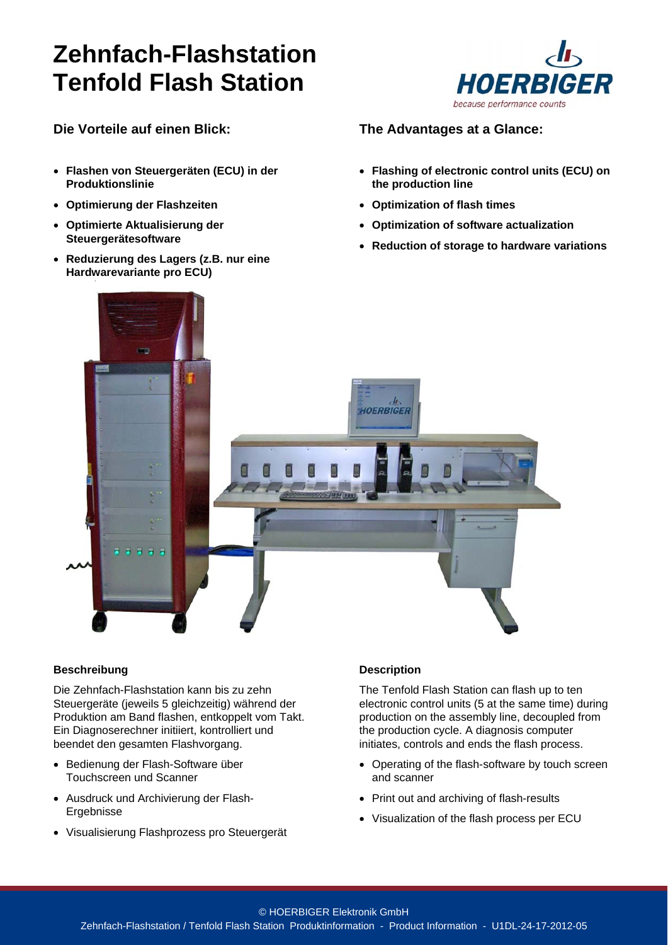# **Zehnfach-Flashstation Tenfold Flash Station**



### **Die Vorteile auf einen Blick:**

- **Flashen von Steuergeräten (ECU) in der Produktionslinie**
- **Optimierung der Flashzeiten**
- **Optimierte Aktualisierung der Steuergerätesoftware**
- **Reduzierung des Lagers (z.B. nur eine Hardwarevariante pro ECU)**

### **The Advantages at a Glance:**

- **Flashing of electronic control units (ECU) on the production line**
- **Optimization of flash times**
- **Optimization of software actualization**
- **Reduction of storage to hardware variations**



#### **Beschreibung**

Die Zehnfach-Flashstation kann bis zu zehn Steuergeräte (jeweils 5 gleichzeitig) während der Produktion am Band flashen, entkoppelt vom Takt. Ein Diagnoserechner initiiert, kontrolliert und beendet den gesamten Flashvorgang.

- Bedienung der Flash-Software über Touchscreen und Scanner
- Ausdruck und Archivierung der Flash-Ergebnisse
- Visualisierung Flashprozess pro Steuergerät

#### **Description**

The Tenfold Flash Station can flash up to ten electronic control units (5 at the same time) during production on the assembly line, decoupled from the production cycle. A diagnosis computer initiates, controls and ends the flash process.

- Operating of the flash-software by touch screen and scanner
- Print out and archiving of flash-results
- Visualization of the flash process per ECU